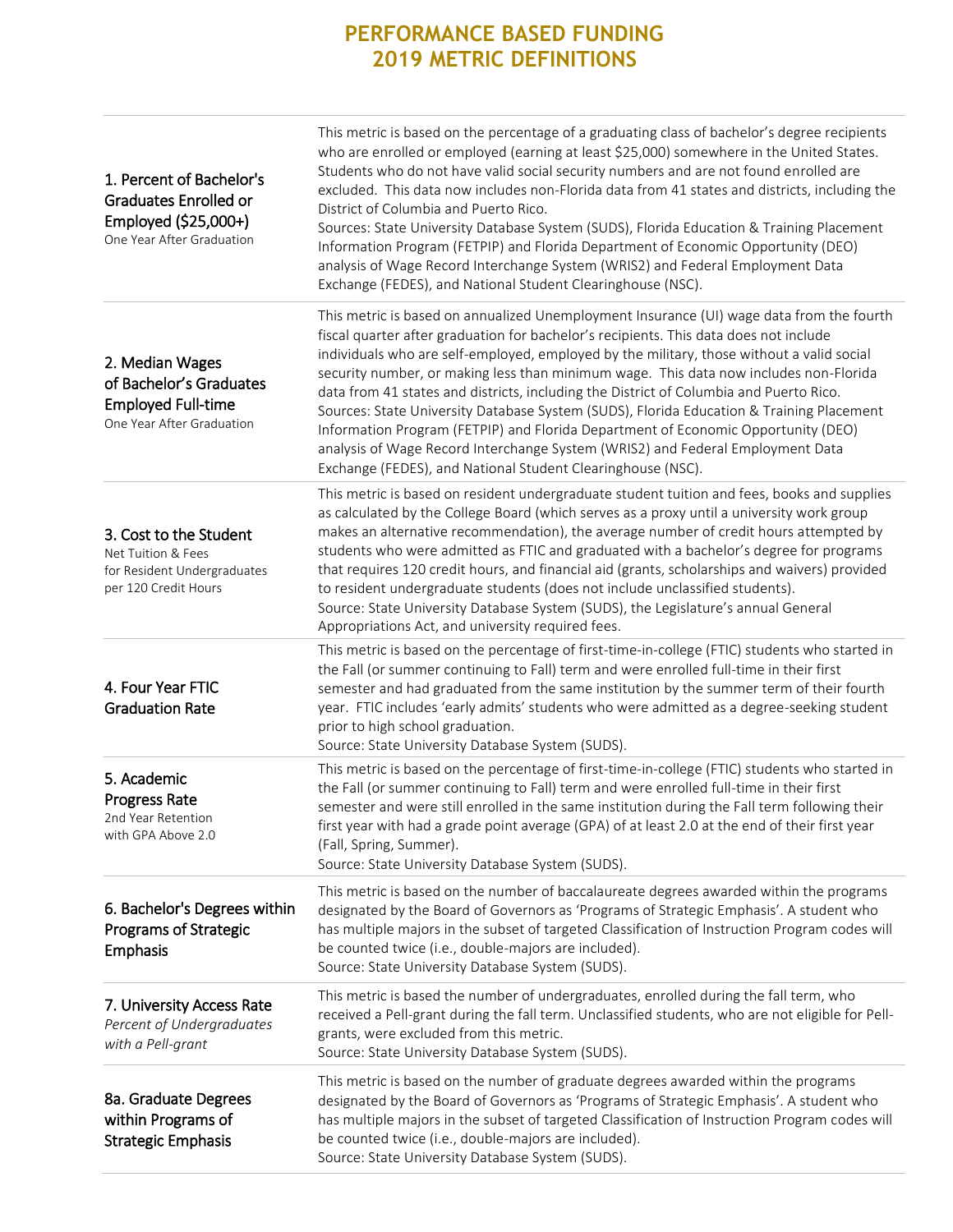# **PERFORMANCE BASED FUNDING 2019 METRIC DEFINITIONS**

| 1. Percent of Bachelor's<br><b>Graduates Enrolled or</b><br>Employed (\$25,000+)<br>One Year After Graduation | This metric is based on the percentage of a graduating class of bachelor's degree recipients<br>who are enrolled or employed (earning at least \$25,000) somewhere in the United States.<br>Students who do not have valid social security numbers and are not found enrolled are<br>excluded. This data now includes non-Florida data from 41 states and districts, including the<br>District of Columbia and Puerto Rico.<br>Sources: State University Database System (SUDS), Florida Education & Training Placement<br>Information Program (FETPIP) and Florida Department of Economic Opportunity (DEO)<br>analysis of Wage Record Interchange System (WRIS2) and Federal Employment Data<br>Exchange (FEDES), and National Student Clearinghouse (NSC).                                       |
|---------------------------------------------------------------------------------------------------------------|-----------------------------------------------------------------------------------------------------------------------------------------------------------------------------------------------------------------------------------------------------------------------------------------------------------------------------------------------------------------------------------------------------------------------------------------------------------------------------------------------------------------------------------------------------------------------------------------------------------------------------------------------------------------------------------------------------------------------------------------------------------------------------------------------------|
| 2. Median Wages<br>of Bachelor's Graduates<br><b>Employed Full-time</b><br>One Year After Graduation          | This metric is based on annualized Unemployment Insurance (UI) wage data from the fourth<br>fiscal quarter after graduation for bachelor's recipients. This data does not include<br>individuals who are self-employed, employed by the military, those without a valid social<br>security number, or making less than minimum wage. This data now includes non-Florida<br>data from 41 states and districts, including the District of Columbia and Puerto Rico.<br>Sources: State University Database System (SUDS), Florida Education & Training Placement<br>Information Program (FETPIP) and Florida Department of Economic Opportunity (DEO)<br>analysis of Wage Record Interchange System (WRIS2) and Federal Employment Data<br>Exchange (FEDES), and National Student Clearinghouse (NSC). |
| 3. Cost to the Student<br>Net Tuition & Fees<br>for Resident Undergraduates<br>per 120 Credit Hours           | This metric is based on resident undergraduate student tuition and fees, books and supplies<br>as calculated by the College Board (which serves as a proxy until a university work group<br>makes an alternative recommendation), the average number of credit hours attempted by<br>students who were admitted as FTIC and graduated with a bachelor's degree for programs<br>that requires 120 credit hours, and financial aid (grants, scholarships and waivers) provided<br>to resident undergraduate students (does not include unclassified students).<br>Source: State University Database System (SUDS), the Legislature's annual General<br>Appropriations Act, and university required fees.                                                                                              |
| 4. Four Year FTIC<br><b>Graduation Rate</b>                                                                   | This metric is based on the percentage of first-time-in-college (FTIC) students who started in<br>the Fall (or summer continuing to Fall) term and were enrolled full-time in their first<br>semester and had graduated from the same institution by the summer term of their fourth<br>year. FTIC includes 'early admits' students who were admitted as a degree-seeking student<br>prior to high school graduation.<br>Source: State University Database System (SUDS).                                                                                                                                                                                                                                                                                                                           |
| 5. Academic<br><b>Progress Rate</b><br>2nd Year Retention<br>with GPA Above 2.0                               | This metric is based on the percentage of first-time-in-college (FTIC) students who started in<br>the Fall (or summer continuing to Fall) term and were enrolled full-time in their first<br>semester and were still enrolled in the same institution during the Fall term following their<br>first year with had a grade point average (GPA) of at least 2.0 at the end of their first year<br>(Fall, Spring, Summer).<br>Source: State University Database System (SUDS).                                                                                                                                                                                                                                                                                                                         |
| 6. Bachelor's Degrees within<br>Programs of Strategic<br>Emphasis                                             | This metric is based on the number of baccalaureate degrees awarded within the programs<br>designated by the Board of Governors as 'Programs of Strategic Emphasis'. A student who<br>has multiple majors in the subset of targeted Classification of Instruction Program codes will<br>be counted twice (i.e., double-majors are included).<br>Source: State University Database System (SUDS).                                                                                                                                                                                                                                                                                                                                                                                                    |
| 7. University Access Rate<br>Percent of Undergraduates<br>with a Pell-grant                                   | This metric is based the number of undergraduates, enrolled during the fall term, who<br>received a Pell-grant during the fall term. Unclassified students, who are not eligible for Pell-<br>grants, were excluded from this metric.<br>Source: State University Database System (SUDS).                                                                                                                                                                                                                                                                                                                                                                                                                                                                                                           |
| 8a. Graduate Degrees<br>within Programs of<br><b>Strategic Emphasis</b>                                       | This metric is based on the number of graduate degrees awarded within the programs<br>designated by the Board of Governors as 'Programs of Strategic Emphasis'. A student who<br>has multiple majors in the subset of targeted Classification of Instruction Program codes will<br>be counted twice (i.e., double-majors are included).<br>Source: State University Database System (SUDS).                                                                                                                                                                                                                                                                                                                                                                                                         |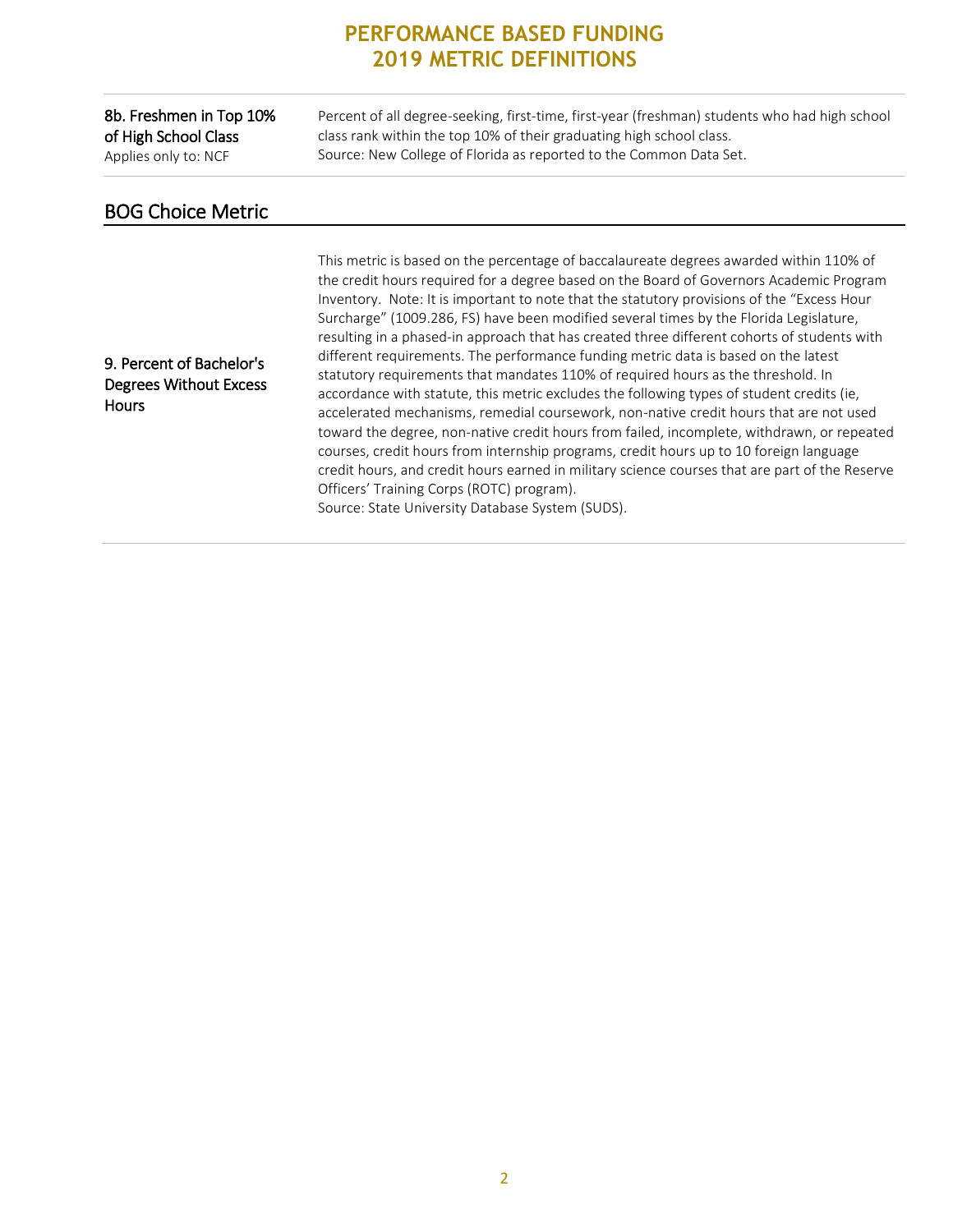### **PERFORMANCE BASED FUNDING 2019 METRIC DEFINITIONS**

#### 8b. Freshmen in Top 10% of High School Class Applies only to: NCF

Percent of all degree-seeking, first-time, first-year (freshman) students who had high school class rank within the top 10% of their graduating high school class. Source: New College of Florida as reported to the Common Data Set.

## BOG Choice Metric

9. Percent of Bachelor's Degrees Without Excess **Hours** 

This metric is based on the percentage of baccalaureate degrees awarded within 110% of the credit hours required for a degree based on the Board of Governors Academic Program Inventory. Note: It is important to note that the statutory provisions of the "Excess Hour Surcharge" (1009.286, FS) have been modified several times by the Florida Legislature, resulting in a phased-in approach that has created three different cohorts of students with different requirements. The performance funding metric data is based on the latest statutory requirements that mandates 110% of required hours as the threshold. In accordance with statute, this metric excludes the following types of student credits (ie, accelerated mechanisms, remedial coursework, non-native credit hours that are not used toward the degree, non-native credit hours from failed, incomplete, withdrawn, or repeated courses, credit hours from internship programs, credit hours up to 10 foreign language credit hours, and credit hours earned in military science courses that are part of the Reserve Officers' Training Corps (ROTC) program). Source: State University Database System (SUDS).